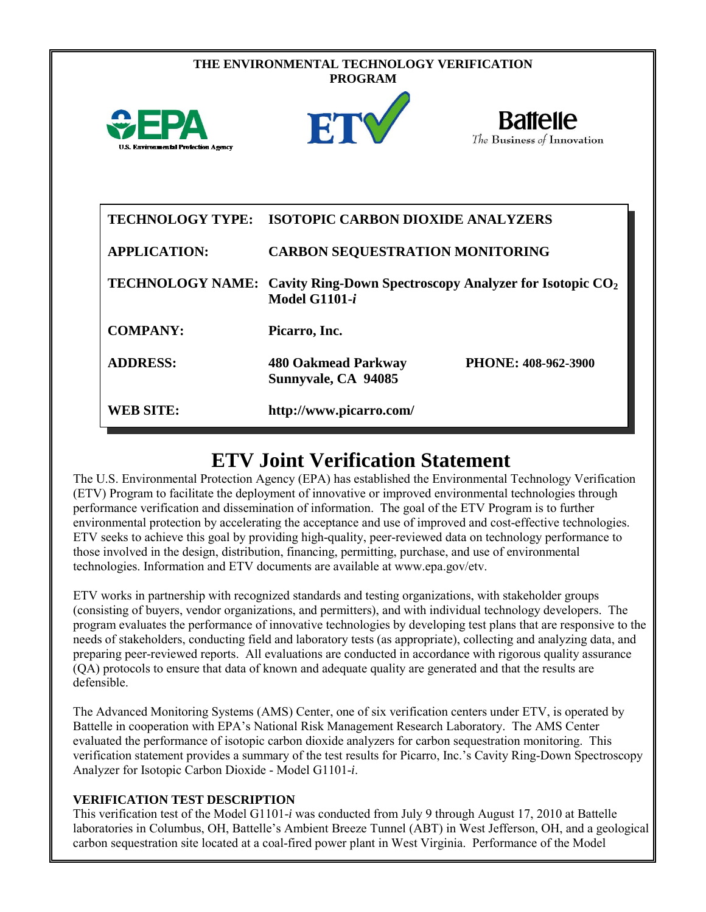| THE ENVIRONMENTAL TECHNOLOGY VERIFICATION<br><b>PROGRAM</b> |                                                                                                              |                                               |
|-------------------------------------------------------------|--------------------------------------------------------------------------------------------------------------|-----------------------------------------------|
| <b>U.S. Environmental Protection Agency</b>                 | ET                                                                                                           | <b>Battelle</b><br>The Business of Innovation |
| <b>TECHNOLOGY TYPE:</b>                                     | <b>ISOTOPIC CARBON DIOXIDE ANALYZERS</b>                                                                     |                                               |
| <b>APPLICATION:</b>                                         | <b>CARBON SEQUESTRATION MONITORING</b>                                                                       |                                               |
|                                                             | TECHNOLOGY NAME: Cavity Ring-Down Spectroscopy Analyzer for Isotopic CO <sub>2</sub><br><b>Model G1101-i</b> |                                               |
| <b>COMPANY:</b>                                             | Picarro, Inc.                                                                                                |                                               |
| <b>ADDRESS:</b>                                             | 480 Oakmead Parkway<br>Sunnyvale, CA 94085                                                                   | PHONE: 408-962-3900                           |
| <b>WEB SITE:</b>                                            | http://www.picarro.com/                                                                                      |                                               |

# **ETV Joint Verification Statement**

The U.S. Environmental Protection Agency (EPA) has established the Environmental Technology Verification (ETV) Program to facilitate the deployment of innovative or improved environmental technologies through performance verification and dissemination of information. The goal of the ETV Program is to further environmental protection by accelerating the acceptance and use of improved and cost-effective technologies. ETV seeks to achieve this goal by providing high-quality, peer-reviewed data on technology performance to those involved in the design, distribution, financing, permitting, purchase, and use of environmental technologies. Information and ETV documents are available at www.epa.gov/etv.

ETV works in partnership with recognized standards and testing organizations, with stakeholder groups (consisting of buyers, vendor organizations, and permitters), and with individual technology developers. The program evaluates the performance of innovative technologies by developing test plans that are responsive to the needs of stakeholders, conducting field and laboratory tests (as appropriate), collecting and analyzing data, and preparing peer-reviewed reports. All evaluations are conducted in accordance with rigorous quality assurance (QA) protocols to ensure that data of known and adequate quality are generated and that the results are defensible.

The Advanced Monitoring Systems (AMS) Center, one of six verification centers under ETV, is operated by Battelle in cooperation with EPA's National Risk Management Research Laboratory. The AMS Center evaluated the performance of isotopic carbon dioxide analyzers for carbon sequestration monitoring. This verification statement provides a summary of the test results for Picarro, Inc.'s Cavity Ring-Down Spectroscopy Analyzer for Isotopic Carbon Dioxide - Model G1101-*i*.

#### **VERIFICATION TEST DESCRIPTION**

This verification test of the Model G1101-*i* was conducted from July 9 through August 17, 2010 at Battelle laboratories in Columbus, OH, Battelle's Ambient Breeze Tunnel (ABT) in West Jefferson, OH, and a geological carbon sequestration site located at a coal-fired power plant in West Virginia. Performance of the Model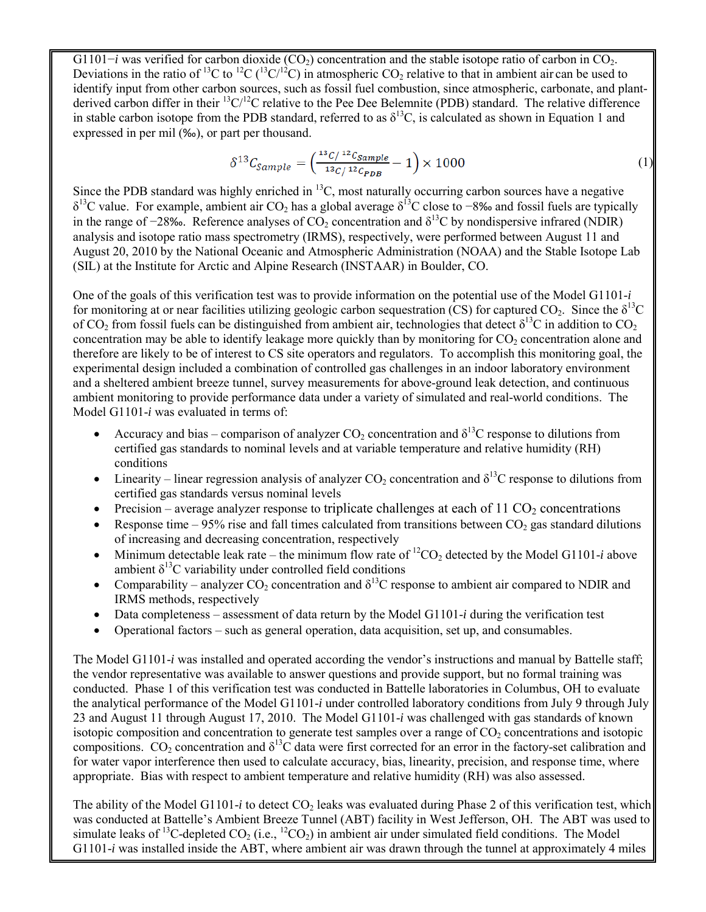G1101−*i* was verified for carbon dioxide (CO<sub>2</sub>) concentration and the stable isotope ratio of carbon in CO<sub>2</sub>. Deviations in the ratio of <sup>13</sup>C to <sup>12</sup>C (<sup>13</sup>C/<sup>12</sup>C) in atmospheric CO<sub>2</sub> relative to that in ambient air can be used to identify input from other carbon sources, such as fossil fuel combustion, since atmospheric, carbonate, and plantderived carbon differ in their  ${}^{13}C/{}^{12}C$  relative to the Pee Dee Belemnite (PDB) standard. The relative difference in stable carbon isotope from the PDB standard, referred to as  $\delta^{13}$ C, is calculated as shown in Equation 1 and expressed in per mil (‰), or part per thousand.

$$
\delta^{13} C_{Sample} = \left(\frac{^{13}C/^{12}C_{Sample}}{^{13}C/^{12}C_{PDB}} - 1\right) \times 1000\tag{1}
$$

Since the PDB standard was highly enriched in  $^{13}C$ , most naturally occurring carbon sources have a negative  $\delta^{13}$ C value. For example, ambient air CO<sub>2</sub> has a global average  $\delta^{13}$ C close to −8‰ and fossil fuels are typically in the range of  $-28\%$ . Reference analyses of CO<sub>2</sub> concentration and  $\delta^{13}$ C by nondispersive infrared (NDIR) analysis and isotope ratio mass spectrometry (IRMS), respectively, were performed between August 11 and August 20, 2010 by the National Oceanic and Atmospheric Administration (NOAA) and the Stable Isotope Lab (SIL) at the Institute for Arctic and Alpine Research (INSTAAR) in Boulder, CO.

One of the goals of this verification test was to provide information on the potential use of the Model G1101-*i*  for monitoring at or near facilities utilizing geologic carbon sequestration (CS) for captured  $CO_2$ . Since the  $\delta^{13}C$ of CO<sub>2</sub> from fossil fuels can be distinguished from ambient air, technologies that detect  $\delta^{13}C$  in addition to CO<sub>2</sub> concentration may be able to identify leakage more quickly than by monitoring for  $CO<sub>2</sub>$  concentration alone and therefore are likely to be of interest to CS site operators and regulators. To accomplish this monitoring goal, the experimental design included a combination of controlled gas challenges in an indoor laboratory environment and a sheltered ambient breeze tunnel, survey measurements for above-ground leak detection, and continuous ambient monitoring to provide performance data under a variety of simulated and real-world conditions. The Model G1101-*i* was evaluated in terms of:

- Accuracy and bias comparison of analyzer  $CO_2$  concentration and  $\delta^{13}C$  response to dilutions from certified gas standards to nominal levels and at variable temperature and relative humidity (RH) conditions
- Linearity linear regression analysis of analyzer CO<sub>2</sub> concentration and  $\delta^{13}$ C response to dilutions from certified gas standards versus nominal levels
- Precision average analyzer response to triplicate challenges at each of  $11 \text{ CO}_2$  concentrations
- Response time 95% rise and fall times calculated from transitions between  $CO_2$  gas standard dilutions of increasing and decreasing concentration, respectively
- Minimum detectable leak rate the minimum flow rate of  ${}^{12}CO_2$  detected by the Model G1101-*i* above ambient  $\delta^{13}$ C variability under controlled field conditions
- Comparability analyzer  $CO_2$  concentration and  $\delta^{13}$ C response to ambient air compared to NDIR and IRMS methods, respectively
- Data completeness assessment of data return by the Model G1101-*i* during the verification test
- Operational factors such as general operation, data acquisition, set up, and consumables.

The Model G1101-*i* was installed and operated according the vendor's instructions and manual by Battelle staff; the vendor representative was available to answer questions and provide support, but no formal training was conducted. Phase 1 of this verification test was conducted in Battelle laboratories in Columbus, OH to evaluate the analytical performance of the Model G1101-*i* under controlled laboratory conditions from July 9 through July 23 and August 11 through August 17, 2010. The Model G1101-*i* was challenged with gas standards of known isotopic composition and concentration to generate test samples over a range of  $CO<sub>2</sub>$  concentrations and isotopic compositions. CO<sub>2</sub> concentration and  $\delta^{13}$ C data were first corrected for an error in the factory-set calibration and for water vapor interference then used to calculate accuracy, bias, linearity, precision, and response time, where appropriate. Bias with respect to ambient temperature and relative humidity (RH) was also assessed.

The ability of the Model G1101-*i* to detect  $CO<sub>2</sub>$  leaks was evaluated during Phase 2 of this verification test, which was conducted at Battelle's Ambient Breeze Tunnel (ABT) facility in West Jefferson, OH. The ABT was used to simulate leaks of <sup>13</sup>C-depleted  $CO_2$  (i.e., <sup>12</sup>CO<sub>2</sub>) in ambient air under simulated field conditions. The Model G1101-*i* was installed inside the ABT, where ambient air was drawn through the tunnel at approximately 4 miles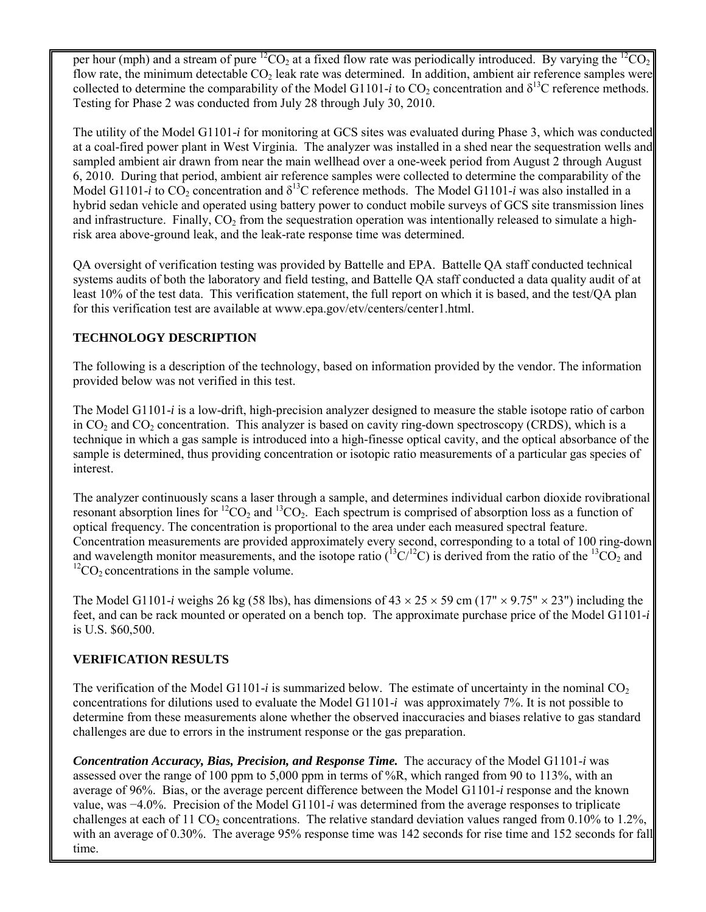per hour (mph) and a stream of pure  ${}^{12}CO_2$  at a fixed flow rate was periodically introduced. By varying the  ${}^{12}CO_2$ flow rate, the minimum detectable  $CO<sub>2</sub>$  leak rate was determined. In addition, ambient air reference samples were collected to determine the comparability of the Model G1101-*i* to  $CO_2$  concentration and  $\delta^{13}C$  reference methods. Testing for Phase 2 was conducted from July 28 through July 30, 2010.

The utility of the Model G1101-*i* for monitoring at GCS sites was evaluated during Phase 3, which was conducted at a coal-fired power plant in West Virginia. The analyzer was installed in a shed near the sequestration wells and sampled ambient air drawn from near the main wellhead over a one-week period from August 2 through August 6, 2010. During that period, ambient air reference samples were collected to determine the comparability of the Model G1101-*i* to  $CO_2$  concentration and  $\delta^{13}$ C reference methods. The Model G1101-*i* was also installed in a hybrid sedan vehicle and operated using battery power to conduct mobile surveys of GCS site transmission lines and infrastructure. Finally, CO<sub>2</sub> from the sequestration operation was intentionally released to simulate a highrisk area above-ground leak, and the leak-rate response time was determined.

QA oversight of verification testing was provided by Battelle and EPA. Battelle QA staff conducted technical systems audits of both the laboratory and field testing, and Battelle QA staff conducted a data quality audit of at least 10% of the test data. This verification statement, the full report on which it is based, and the test/QA plan for this verification test are available at www.epa.gov/etv/centers/center1.html.

### **TECHNOLOGY DESCRIPTION**

The following is a description of the technology, based on information provided by the vendor. The information provided below was not verified in this test.

The Model G1101-*i* is a low-drift, high-precision analyzer designed to measure the stable isotope ratio of carbon in  $CO<sub>2</sub>$  and  $CO<sub>2</sub>$  concentration. This analyzer is based on cavity ring-down spectroscopy (CRDS), which is a technique in which a gas sample is introduced into a high-finesse optical cavity, and the optical absorbance of the sample is determined, thus providing concentration or isotopic ratio measurements of a particular gas species of interest.

The analyzer continuously scans a laser through a sample, and determines individual carbon dioxide rovibrational resonant absorption lines for <sup>12</sup>CO<sub>2</sub> and <sup>13</sup>CO<sub>2</sub>. Each spectrum is comprised of absorption loss as a function of optical frequency. The concentration is proportional to the area under each measured spectral feature. Concentration measurements are provided approximately every second, corresponding to a total of 100 ring-down and wavelength monitor measurements, and the isotope ratio  $(^{13}C/^{12}C)$  is derived from the ratio of the  $^{13}CO_2$  and  ${}^{12}CO_2$  concentrations in the sample volume.

The Model G1101-*i* weighs 26 kg (58 lbs), has dimensions of  $43 \times 25 \times 59$  cm ( $17'' \times 9.75'' \times 23''$ ) including the feet, and can be rack mounted or operated on a bench top. The approximate purchase price of the Model G1101-*i* is U.S. \$60,500.

## **VERIFICATION RESULTS**

The verification of the Model G1101-*i* is summarized below. The estimate of uncertainty in the nominal  $CO<sub>2</sub>$ concentrations for dilutions used to evaluate the Model G1101-*i* was approximately 7%. It is not possible to determine from these measurements alone whether the observed inaccuracies and biases relative to gas standard challenges are due to errors in the instrument response or the gas preparation.

*Concentration Accuracy, Bias, Precision, and Response Time.* The accuracy of the Model G1101-*i* was assessed over the range of 100 ppm to 5,000 ppm in terms of %R, which ranged from 90 to 113%, with an average of 96%. Bias, or the average percent difference between the Model G1101-*i* response and the known value, was −4.0%. Precision of the Model G1101-*i* was determined from the average responses to triplicate challenges at each of 11 CO<sub>2</sub> concentrations. The relative standard deviation values ranged from 0.10% to 1.2%, with an average of 0.30%. The average 95% response time was 142 seconds for rise time and 152 seconds for fall time.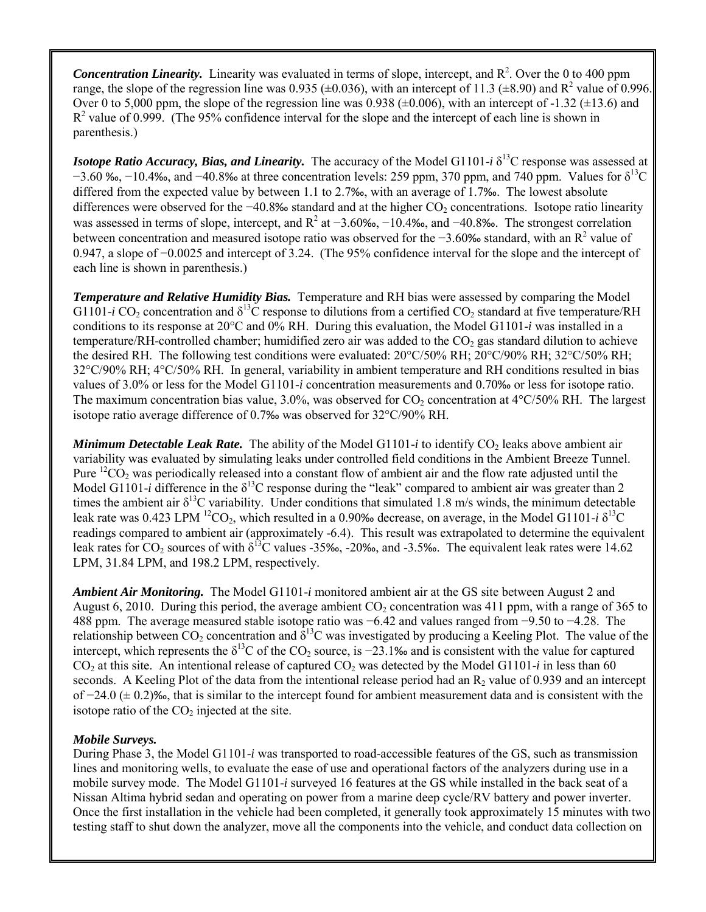*Concentration Linearity.* Linearity was evaluated in terms of slope, intercept, and  $R<sup>2</sup>$ . Over the 0 to 400 ppm range, the slope of the regression line was 0.935 ( $\pm$ 0.036), with an intercept of 11.3 ( $\pm$ 8.90) and R<sup>2</sup> value of 0.996. Over 0 to 5,000 ppm, the slope of the regression line was 0.938 ( $\pm$ 0.006), with an intercept of -1.32 ( $\pm$ 13.6) and  $R^2$  value of 0.999. (The 95% confidence interval for the slope and the intercept of each line is shown in parenthesis.)

*Isotope Ratio Accuracy, Bias, and Linearity.* The accuracy of the Model G1101-*i*  $\delta^{13}$ C response was assessed at  $-3.60$  ‰,  $-10.4$ ‰, and  $-40.8$ ‰ at three concentration levels: 259 ppm, 370 ppm, and 740 ppm. Values for  $\delta^{13}C$ differed from the expected value by between 1.1 to 2.7‰, with an average of 1.7‰. The lowest absolute differences were observed for the  $-40.8%$  standard and at the higher  $CO<sub>2</sub>$  concentrations. Isotope ratio linearity was assessed in terms of slope, intercept, and  $R^2$  at  $-3.60\%$ ,  $-10.4\%$ , and  $-40.8\%$ . The strongest correlation between concentration and measured isotope ratio was observed for the −3.60‰ standard, with an R<sup>2</sup> value of 0.947, a slope of −0.0025 and intercept of 3.24. (The 95% confidence interval for the slope and the intercept of each line is shown in parenthesis.)

*Temperature and Relative Humidity Bias.* Temperature and RH bias were assessed by comparing the Model G1101-*i* CO<sub>2</sub> concentration and  $\delta^{13}$ C response to dilutions from a certified CO<sub>2</sub> standard at five temperature/RH conditions to its response at 20°C and 0% RH. During this evaluation, the Model G1101-*i* was installed in a temperature/RH-controlled chamber; humidified zero air was added to the  $CO<sub>2</sub>$  gas standard dilution to achieve the desired RH. The following test conditions were evaluated: 20°C/50% RH; 20°C/90% RH; 32°C/50% RH; 32°C/90% RH; 4°C/50% RH. In general, variability in ambient temperature and RH conditions resulted in bias values of 3.0% or less for the Model G1101-*i* concentration measurements and 0.70‰ or less for isotope ratio. The maximum concentration bias value,  $3.0\%$ , was observed for CO<sub>2</sub> concentration at  $4^{\circ}$ C/50% RH. The largest isotope ratio average difference of 0.7‰ was observed for 32°C/90% RH.

*Minimum Detectable Leak Rate.* The ability of the Model G1101-*i* to identify  $CO_2$  leaks above ambient air variability was evaluated by simulating leaks under controlled field conditions in the Ambient Breeze Tunnel. Pure  ${}^{12}CO_2$  was periodically released into a constant flow of ambient air and the flow rate adjusted until the Model G1101-*i* difference in the  $\delta^{13}$ C response during the "leak" compared to ambient air was greater than 2 times the ambient air  $\delta^{13}$ C variability. Under conditions that simulated 1.8 m/s winds, the minimum detectable leak rate was 0.423 LPM <sup>12</sup>CO<sub>2</sub>, which resulted in a 0.90‰ decrease, on average, in the Model G1101-*i*  $\delta^{13}C$ readings compared to ambient air (approximately -6.4). This result was extrapolated to determine the equivalent leak rates for  $CO_2$  sources of with  $\delta^{13}C$  values -35‰, -20‰, and -3.5‰. The equivalent leak rates were 14.62 LPM, 31.84 LPM, and 198.2 LPM, respectively.

*Ambient Air Monitoring.* The Model G1101-*i* monitored ambient air at the GS site between August 2 and August 6, 2010. During this period, the average ambient  $CO<sub>2</sub>$  concentration was 411 ppm, with a range of 365 to 488 ppm. The average measured stable isotope ratio was −6.42 and values ranged from −9.50 to −4.28. The relationship between  $CO_2$  concentration and  $\delta^{13}C$  was investigated by producing a Keeling Plot. The value of the intercept, which represents the  $\delta^{13}$ C of the CO<sub>2</sub> source, is −23.1‰ and is consistent with the value for captured  $CO<sub>2</sub>$  at this site. An intentional release of captured  $CO<sub>2</sub>$  was detected by the Model G1101-*i* in less than 60 seconds. A Keeling Plot of the data from the intentional release period had an  $R_2$  value of 0.939 and an intercept of  $-24.0 \ (\pm 0.2)$ ‰, that is similar to the intercept found for ambient measurement data and is consistent with the isotope ratio of the  $CO<sub>2</sub>$  injected at the site.

#### *Mobile Surveys.*

During Phase 3, the Model G1101-*i* was transported to road-accessible features of the GS, such as transmission lines and monitoring wells, to evaluate the ease of use and operational factors of the analyzers during use in a mobile survey mode. The Model G1101-*i* surveyed 16 features at the GS while installed in the back seat of a Nissan Altima hybrid sedan and operating on power from a marine deep cycle/RV battery and power inverter. Once the first installation in the vehicle had been completed, it generally took approximately 15 minutes with two testing staff to shut down the analyzer, move all the components into the vehicle, and conduct data collection on